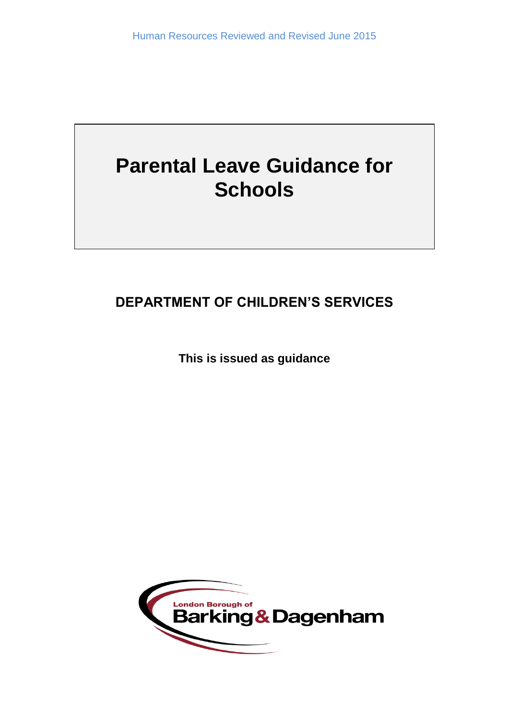# **Parental Leave Guidance for Schools**

## **DEPARTMENT OF CHILDREN'S SERVICES**

**This is issued as guidance**

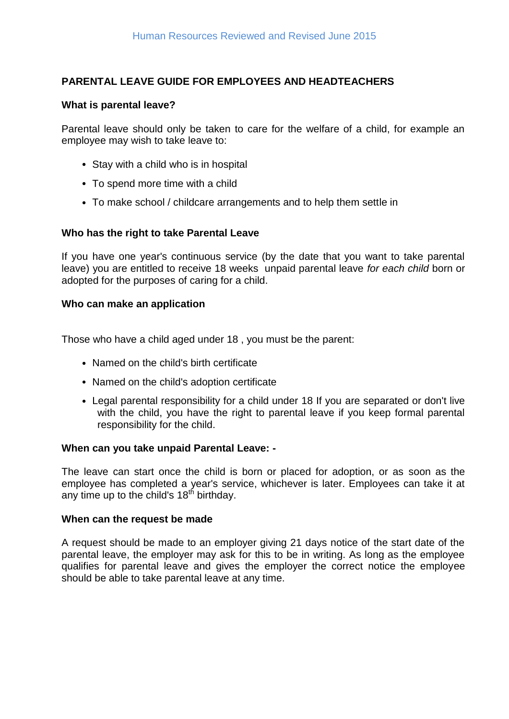### **PARENTAL LEAVE GUIDE FOR EMPLOYEES AND HEADTEACHERS**

#### **What is parental leave?**

Parental leave should only be taken to care for the welfare of a child, for example an employee may wish to take leave to:

- Stay with a child who is in hospital
- To spend more time with a child
- To make school / childcare arrangements and to help them settle in

#### **Who has the right to take Parental Leave**

If you have one year's continuous service (by the date that you want to take parental leave) you are entitled to receive 18 weeks unpaid parental leave *for each child* born or adopted for the purposes of caring for a child.

#### **Who can make an application**

Those who have a child aged under 18 , you must be the parent:

- Named on the child's birth certificate
- Named on the child's adoption certificate
- Legal parental responsibility for a child under 18 If you are separated or don't live with the child, you have the right to parental leave if you keep formal parental responsibility for the child.

#### **When can you take unpaid Parental Leave: -**

The leave can start once the child is born or placed for adoption, or as soon as the employee has completed a year's service, whichever is later. Employees can take it at any time up to the child's  $18<sup>th</sup>$  birthday.

#### **When can the request be made**

A request should be made to an employer giving 21 days notice of the start date of the parental leave, the employer may ask for this to be in writing. As long as the employee qualifies for parental leave and gives the employer the correct notice the employee should be able to take parental leave at any time.